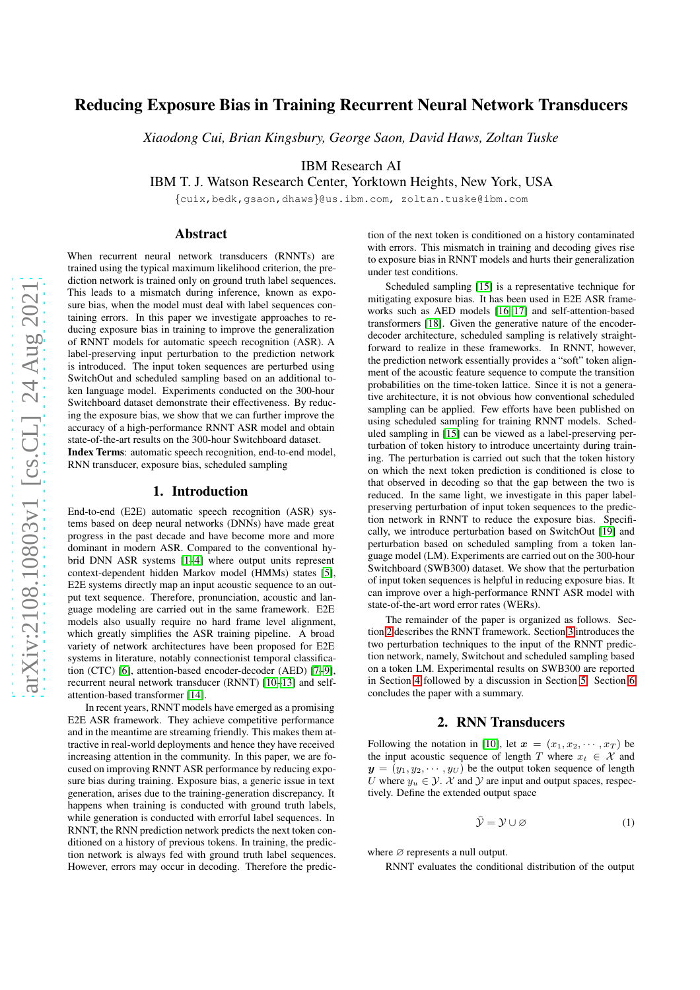# Reducing Exposure Bias in Training Recurrent Neural Network Transducers

*Xiaodong Cui, Brian Kingsbury, George Saon, David Haws, Zoltan Tuske*

IBM Research AI

IBM T. J. Watson Research Center, Yorktown Heights, New York, USA

{cuix,bedk,gsaon,dhaws}@us.ibm.com, zoltan.tuske@ibm.com

### Abstract

When recurrent neural network transducers (RNNTs) are trained using the typical maximum likelihood criterion, the prediction network is trained only on ground truth label sequences. This leads to a mismatch during inference, known as exposure bias, when the model must deal with label sequences containing errors. In this paper we investigate approaches to reducing exposure bias in training to improve the generalization of RNNT models for automatic speech recognition (ASR). A label-preserving input perturbation to the prediction network is introduced. The input token sequences are perturbed using SwitchOut and scheduled sampling based on an additional token language model. Experiments conducted on the 300-hour Switchboard dataset demonstrate their effectiveness. By reducing the exposure bias, we show that we can further improve the accuracy of a high-performance RNNT ASR model and obtain state-of-the-art results on the 300-hour Switchboard dataset. Index Terms: automatic speech recognition, end-to-end model,

RNN transducer, exposure bias, scheduled sampling

### 1. Introduction

End-to-end (E2E) automatic speech recognition (ASR) systems based on deep neural networks (DNNs) have made great progress in the past decade and have become more and more dominant in modern ASR. Compared to the conventional hybrid DNN ASR systems [\[1](#page-3-0)[–4\]](#page-4-0) where output units represent context-dependent hidden Markov model (HMMs) states [\[5\]](#page-4-1), E2E systems directly map an input acoustic sequence to an output text sequence. Therefore, pronunciation, acoustic and language modeling are carried out in the same framework. E2E models also usually require no hard frame level alignment, which greatly simplifies the ASR training pipeline. A broad variety of network architectures have been proposed for E2E systems in literature, notably connectionist temporal classification (CTC) [\[6\]](#page-4-2), attention-based encoder-decoder (AED) [\[7](#page-4-3)[–9\]](#page-4-4), recurrent neural network transducer (RNNT) [\[10–](#page-4-5)[13\]](#page-4-6) and selfattention-based transformer [\[14\]](#page-4-7).

In recent years, RNNT models have emerged as a promising E2E ASR framework. They achieve competitive performance and in the meantime are streaming friendly. This makes them attractive in real-world deployments and hence they have received increasing attention in the community. In this paper, we are focused on improving RNNT ASR performance by reducing exposure bias during training. Exposure bias, a generic issue in text generation, arises due to the training-generation discrepancy. It happens when training is conducted with ground truth labels, while generation is conducted with errorful label sequences. In RNNT, the RNN prediction network predicts the next token conditioned on a history of previous tokens. In training, the prediction network is always fed with ground truth label sequences. However, errors may occur in decoding. Therefore the prediction of the next token is conditioned on a history contaminated with errors. This mismatch in training and decoding gives rise to exposure bias in RNNT models and hurts their generalization under test conditions.

Scheduled sampling [\[15\]](#page-4-8) is a representative technique for mitigating exposure bias. It has been used in E2E ASR frameworks such as AED models [\[16,](#page-4-9) [17\]](#page-4-10) and self-attention-based transformers [\[18\]](#page-4-11). Given the generative nature of the encoderdecoder architecture, scheduled sampling is relatively straightforward to realize in these frameworks. In RNNT, however, the prediction network essentially provides a "soft" token alignment of the acoustic feature sequence to compute the transition probabilities on the time-token lattice. Since it is not a generative architecture, it is not obvious how conventional scheduled sampling can be applied. Few efforts have been published on using scheduled sampling for training RNNT models. Scheduled sampling in [\[15\]](#page-4-8) can be viewed as a label-preserving perturbation of token history to introduce uncertainty during training. The perturbation is carried out such that the token history on which the next token prediction is conditioned is close to that observed in decoding so that the gap between the two is reduced. In the same light, we investigate in this paper labelpreserving perturbation of input token sequences to the prediction network in RNNT to reduce the exposure bias. Specifically, we introduce perturbation based on SwitchOut [\[19\]](#page-4-12) and perturbation based on scheduled sampling from a token language model (LM). Experiments are carried out on the 300-hour Switchboard (SWB300) dataset. We show that the perturbation of input token sequences is helpful in reducing exposure bias. It can improve over a high-performance RNNT ASR model with state-of-the-art word error rates (WERs).

The remainder of the paper is organized as follows. Section [2](#page-0-0) describes the RNNT framework. Section [3](#page-1-0) introduces the two perturbation techniques to the input of the RNNT prediction network, namely, Switchout and scheduled sampling based on a token LM. Experimental results on SWB300 are reported in Section [4](#page-2-0) followed by a discussion in Section [5.](#page-3-1) Section [6](#page-3-2) concludes the paper with a summary.

### 2. RNN Transducers

<span id="page-0-0"></span>Following the notation in [\[10\]](#page-4-5), let  $\mathbf{x} = (x_1, x_2, \dots, x_T)$  be the input acoustic sequence of length T where  $x_t \in \mathcal{X}$  and  $y = (y_1, y_2, \dots, y_U)$  be the output token sequence of length U where  $y_u \in \mathcal{Y}$ . X and Y are input and output spaces, respectively. Define the extended output space

$$
\bar{\mathcal{Y}} = \mathcal{Y} \cup \varnothing \tag{1}
$$

where ∅ represents a null output.

RNNT evaluates the conditional distribution of the output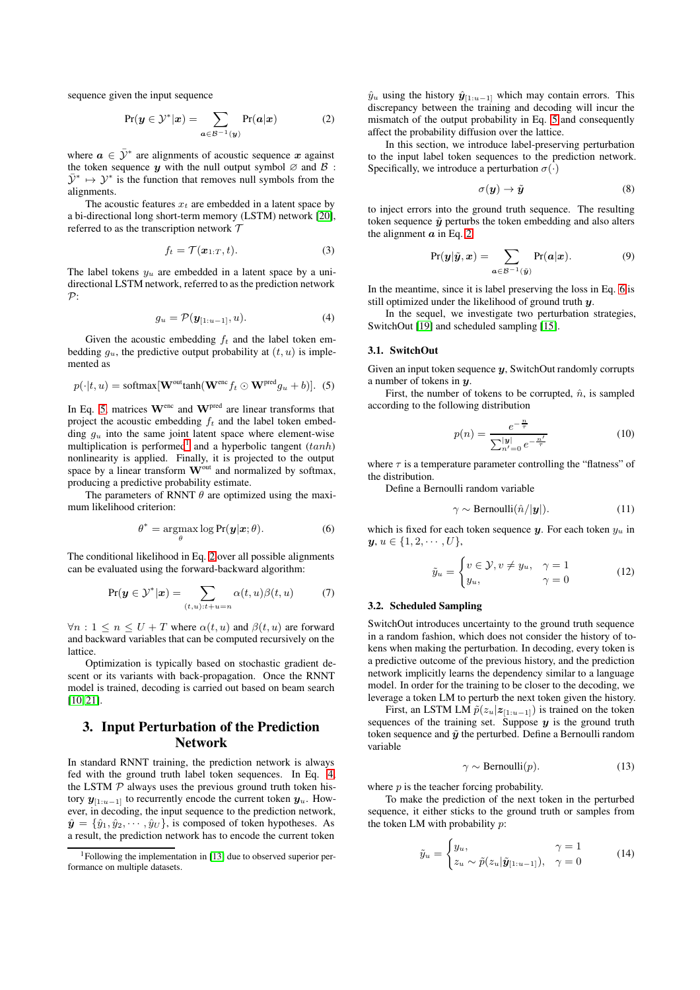sequence given the input sequence

$$
Pr(\boldsymbol{y} \in \mathcal{Y}^*|\boldsymbol{x}) = \sum_{\boldsymbol{a} \in \mathcal{B}^{-1}(\boldsymbol{y})} Pr(\boldsymbol{a}|\boldsymbol{x})
$$
 (2)

where  $a \in \bar{\mathcal{Y}}^*$  are alignments of acoustic sequence x against the token sequence y with the null output symbol  $\varnothing$  and  $\varnothing$ :  $\bar{\mathcal{Y}}^* \mapsto \mathcal{Y}^*$  is the function that removes null symbols from the alignments.

The acoustic features  $x_t$  are embedded in a latent space by a bi-directional long short-term memory (LSTM) network [\[20\]](#page-4-13), referred to as the transcription network  $T$ 

$$
f_t = \mathcal{T}(\boldsymbol{x}_{1:T}, t). \tag{3}
$$

The label tokens  $y_u$  are embedded in a latent space by a unidirectional LSTM network, referred to as the prediction network  $\mathcal{P}$ :

$$
g_u = \mathcal{P}(\mathbf{y}_{[1:u-1]}, u). \tag{4}
$$

Given the acoustic embedding  $f_t$  and the label token embedding  $g_u$ , the predictive output probability at  $(t, u)$  is implemented as

$$
p(\cdot|t,u) = \text{softmax}[\mathbf{W}^{\text{out}}\text{tanh}(\mathbf{W}^{\text{enc}}f_t \odot \mathbf{W}^{\text{pred}}g_u + b)]. \tag{5}
$$

In Eq. [5,](#page-1-1) matrices  $W^{\text{enc}}$  and  $W^{\text{pred}}$  are linear transforms that project the acoustic embedding  $f_t$  and the label token embedding  $g_u$  into the same joint latent space where element-wise multiplication is performed<sup>[1](#page-1-2)</sup> and a hyperbolic tangent  $(tanh)$ nonlinearity is applied. Finally, it is projected to the output space by a linear transform  $\mathbf{W}^{\text{out}}$  and normalized by softmax, producing a predictive probability estimate.

The parameters of RNNT  $\theta$  are optimized using the maximum likelihood criterion:

$$
\theta^* = \underset{\theta}{\operatorname{argmax}} \log \Pr(\mathbf{y}|\mathbf{x}; \theta). \tag{6}
$$

The conditional likelihood in Eq. [2](#page-1-3) over all possible alignments can be evaluated using the forward-backward algorithm:

$$
Pr(\boldsymbol{y} \in \mathcal{Y}^*|\boldsymbol{x}) = \sum_{(t,u):t+u=n} \alpha(t,u)\beta(t,u) \tag{7}
$$

 $\forall n : 1 \leq n \leq U + T$  where  $\alpha(t, u)$  and  $\beta(t, u)$  are forward and backward variables that can be computed recursively on the lattice.

Optimization is typically based on stochastic gradient descent or its variants with back-propagation. Once the RNNT model is trained, decoding is carried out based on beam search [\[10,](#page-4-5) [21\]](#page-4-14).

## <span id="page-1-0"></span>3. Input Perturbation of the Prediction Network

In standard RNNT training, the prediction network is always fed with the ground truth label token sequences. In Eq. [4,](#page-1-4) the LSTM  $P$  always uses the previous ground truth token history  $y_{[1:u-1]}$  to recurrently encode the current token  $y_u$ . However, in decoding, the input sequence to the prediction network,  $\hat{\mathbf{y}} = {\hat{y}_1, \hat{y}_2, \cdots, \hat{y}_U}$ , is composed of token hypotheses. As a result, the prediction network has to encode the current token <span id="page-1-3"></span> $\hat{y}_u$  using the history  $\hat{y}_{[1:u-1]}$  which may contain errors. This discrepancy between the training and decoding will incur the mismatch of the output probability in Eq. [5](#page-1-1) and consequently affect the probability diffusion over the lattice.

In this section, we introduce label-preserving perturbation to the input label token sequences to the prediction network. Specifically, we introduce a perturbation  $\sigma(\cdot)$ 

$$
\sigma(\mathbf{y}) \to \tilde{\mathbf{y}} \tag{8}
$$

to inject errors into the ground truth sequence. The resulting token sequence  $\tilde{y}$  perturbs the token embedding and also alters the alignment  $\alpha$  in Eq. [2](#page-1-3)

$$
Pr(\boldsymbol{y}|\tilde{\boldsymbol{y}},\boldsymbol{x}) = \sum_{\boldsymbol{a}\in\mathcal{B}^{-1}(\tilde{\boldsymbol{y}})} Pr(\boldsymbol{a}|\boldsymbol{x}).
$$
 (9)

In the meantime, since it is label preserving the loss in Eq. [6](#page-1-5) is still optimized under the likelihood of ground truth y.

<span id="page-1-4"></span>In the sequel, we investigate two perturbation strategies, SwitchOut [\[19\]](#page-4-12) and scheduled sampling [\[15\]](#page-4-8).

#### 3.1. SwitchOut

Given an input token sequence  $y$ , SwitchOut randomly corrupts a number of tokens in  $\boldsymbol{\mathit{u}}$ .

<span id="page-1-1"></span>First, the number of tokens to be corrupted,  $\hat{n}$ , is sampled according to the following distribution

$$
p(n) = \frac{e^{-\frac{n}{\tau}}}{\sum_{n'=0}^{|y|} e^{-\frac{n'}{\tau}}} \tag{10}
$$

where  $\tau$  is a temperature parameter controlling the "flatness" of the distribution.

Define a Bernoulli random variable

$$
\gamma \sim \text{Bernoulli}(\hat{n}/|\mathbf{y}|). \tag{11}
$$

<span id="page-1-5"></span>which is fixed for each token sequence  $y$ . For each token  $y_u$  in  $\textbf{\emph{y}},\textit{u}\in\{1,2,\cdots,U\},$ 

$$
\tilde{y}_u = \begin{cases} v \in \mathcal{Y}, v \neq y_u, & \gamma = 1 \\ y_u, & \gamma = 0 \end{cases}
$$
 (12)

#### 3.2. Scheduled Sampling

SwitchOut introduces uncertainty to the ground truth sequence in a random fashion, which does not consider the history of tokens when making the perturbation. In decoding, every token is a predictive outcome of the previous history, and the prediction network implicitly learns the dependency similar to a language model. In order for the training to be closer to the decoding, we leverage a token LM to perturb the next token given the history.

First, an LSTM LM  $\tilde{p}(z_u|z_{[1:u-1]})$  is trained on the token sequences of the training set. Suppose  $y$  is the ground truth token sequence and  $\tilde{y}$  the perturbed. Define a Bernoulli random variable

$$
\gamma \sim \text{Bernoulli}(p). \tag{13}
$$

where  $p$  is the teacher forcing probability.

To make the prediction of the next token in the perturbed sequence, it either sticks to the ground truth or samples from the token LM with probability  $p$ :

$$
\tilde{y}_u = \begin{cases} y_u, & \gamma = 1 \\ z_u \sim \tilde{p}(z_u | \tilde{\mathbf{y}}_{[1:u-1]}), & \gamma = 0 \end{cases}
$$
(14)

<span id="page-1-2"></span> $1$ Following the implementation in [\[13\]](#page-4-6) due to observed superior performance on multiple datasets.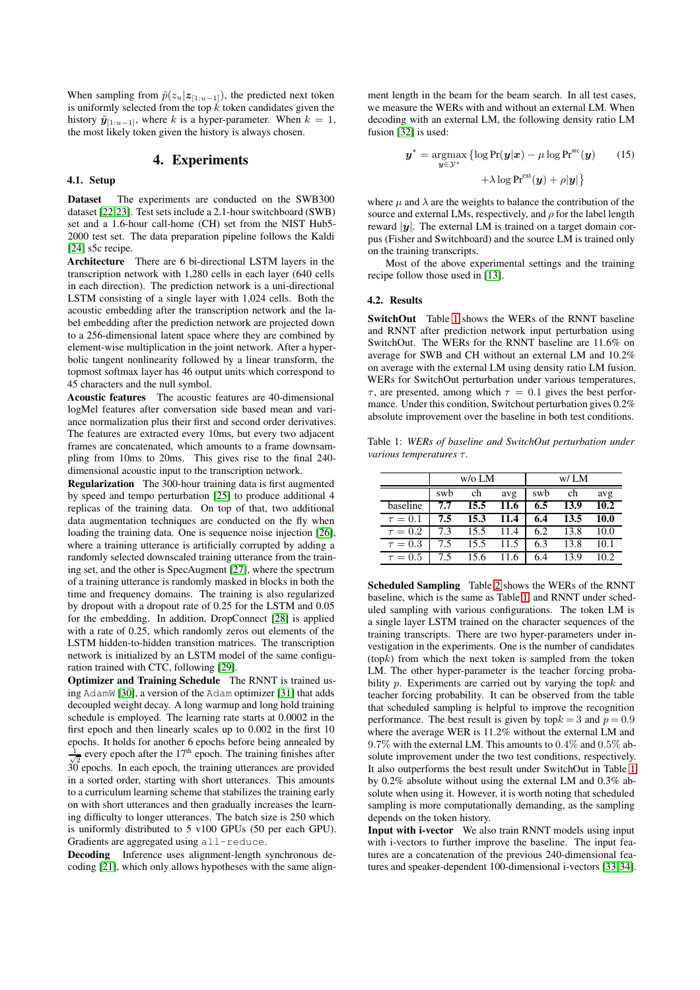When sampling from  $\tilde{p}(z_u|z_{[1:u-1]})$ , the predicted next token is uniformly selected from the top  $k$  token candidates given the history  $\tilde{\mathbf{y}}_{[1:u-1]}$ , where k is a hyper-parameter. When  $k = 1$ , the most likely token given the history is always chosen.

### 4. Experiments

#### <span id="page-2-0"></span>4.1. Setup

Dataset The experiments are conducted on the SWB300 dataset [\[22,](#page-4-15)[23\]](#page-4-16). Test sets include a 2.1-hour switchboard (SWB) set and a 1.6-hour call-home (CH) set from the NIST Hub5- 2000 test set. The data preparation pipeline follows the Kaldi [\[24\]](#page-4-17) s5c recipe.

Architecture There are 6 bi-directional LSTM layers in the transcription network with 1,280 cells in each layer (640 cells in each direction). The prediction network is a uni-directional LSTM consisting of a single layer with 1,024 cells. Both the acoustic embedding after the transcription network and the label embedding after the prediction network are projected down to a 256-dimensional latent space where they are combined by element-wise multiplication in the joint network. After a hyperbolic tangent nonlinearity followed by a linear transform, the topmost softmax layer has 46 output units which correspond to 45 characters and the null symbol.

Acoustic features The acoustic features are 40-dimensional logMel features after conversation side based mean and variance normalization plus their first and second order derivatives. The features are extracted every 10ms, but every two adjacent frames are concatenated, which amounts to a frame downsampling from 10ms to 20ms. This gives rise to the final 240 dimensional acoustic input to the transcription network.

Regularization The 300-hour training data is first augmented by speed and tempo perturbation [\[25\]](#page-4-18) to produce additional 4 replicas of the training data. On top of that, two additional data augmentation techniques are conducted on the fly when loading the training data. One is sequence noise injection [\[26\]](#page-4-19), where a training utterance is artificially corrupted by adding a randomly selected downscaled training utterance from the training set, and the other is SpecAugment [\[27\]](#page-4-20), where the spectrum of a training utterance is randomly masked in blocks in both the time and frequency domains. The training is also regularized by dropout with a dropout rate of 0.25 for the LSTM and 0.05 for the embedding. In addition, DropConnect [\[28\]](#page-4-21) is applied with a rate of 0.25, which randomly zeros out elements of the LSTM hidden-to-hidden transition matrices. The transcription network is initialized by an LSTM model of the same configuration trained with CTC, following [\[29\]](#page-4-22).

Optimizer and Training Schedule The RNNT is trained using AdamW [\[30\]](#page-4-23), a version of the Adam optimizer [\[31\]](#page-4-24) that adds decoupled weight decay. A long warmup and long hold training schedule is employed. The learning rate starts at 0.0002 in the first epoch and then linearly scales up to 0.002 in the first 10 epochs. It holds for another 6 epochs before being annealed by  $\frac{1}{\sqrt{2}}$  every epoch after the 17<sup>th</sup> epoch. The training finishes after  $\frac{\sqrt{2}}{2}$  every epoch after the 1. Septem 1.1 channing inheres are provided in a sorted order, starting with short utterances. This amounts to a curriculum learning scheme that stabilizes the training early on with short utterances and then gradually increases the learning difficulty to longer utterances. The batch size is 250 which is uniformly distributed to 5 v100 GPUs (50 per each GPU). Gradients are aggregated using all-reduce.

Decoding Inference uses alignment-length synchronous decoding [\[21\]](#page-4-14), which only allows hypotheses with the same align-

ment length in the beam for the beam search. In all test cases, we measure the WERs with and without an external LM. When decoding with an external LM, the following density ratio LM fusion [\[32\]](#page-4-25) is used:

$$
\mathbf{y}^* = \underset{\mathbf{y} \in \mathcal{Y}^*}{\operatorname{argmax}} \left\{ \log \Pr(\mathbf{y}|\mathbf{x}) - \mu \log \Pr^{\text{src}}(\mathbf{y}) \right\} + \lambda \log \Pr^{\text{ext}}(\mathbf{y}) + \rho |\mathbf{y}| \right\}
$$
(15)

where  $\mu$  and  $\lambda$  are the weights to balance the contribution of the source and external LMs, respectively, and  $\rho$  for the label length reward  $|y|$ . The external LM is trained on a target domain corpus (Fisher and Switchboard) and the source LM is trained only on the training transcripts.

Most of the above experimental settings and the training recipe follow those used in [\[13\]](#page-4-6).

#### 4.2. Results

SwitchOut Table [1](#page-2-1) shows the WERs of the RNNT baseline and RNNT after prediction network input perturbation using SwitchOut. The WERs for the RNNT baseline are 11.6% on average for SWB and CH without an external LM and 10.2% on average with the external LM using density ratio LM fusion. WERs for SwitchOut perturbation under various temperatures,  $\tau$ , are presented, among which  $\tau = 0.1$  gives the best performance. Under this condition, Switchout perturbation gives 0.2% absolute improvement over the baseline in both test conditions.

<span id="page-2-1"></span>Table 1: *WERs of baseline and SwitchOut perturbation under various temperatures τ.* 

|              | $w$ /o LM |      |      | w/LM |      |      |  |
|--------------|-----------|------|------|------|------|------|--|
|              | swb       | ch   | avg  | swb  | ch   | avg  |  |
| baseline     | 7.7       | 15.5 | 11.6 | 6.5  | 13.9 | 10.2 |  |
| $\tau = 0.1$ | 7.5       | 15.3 | 11.4 | 6.4  | 13.5 | 10.0 |  |
| $\tau = 0.2$ | 7.3       | 15.5 | 11.4 | 6.2  | 13.8 | 10.0 |  |
| $\tau = 0.3$ | 7.5       | 15.5 | 11.5 | 6.3  | 13.8 | 10.1 |  |
| $\tau = 0.5$ | 7.5       | 15.6 |      | 6.4  | 13.9 | 10.2 |  |

Scheduled Sampling Table [2](#page-3-3) shows the WERs of the RNNT baseline, which is the same as Table [1,](#page-2-1) and RNNT under scheduled sampling with various configurations. The token LM is a single layer LSTM trained on the character sequences of the training transcripts. There are two hyper-parameters under investigation in the experiments. One is the number of candidates  $(t$ op $k$ ) from which the next token is sampled from the token LM. The other hyper-parameter is the teacher forcing probability  $p$ . Experiments are carried out by varying the top $k$  and teacher forcing probability. It can be observed from the table that scheduled sampling is helpful to improve the recognition performance. The best result is given by top $k = 3$  and  $p = 0.9$ where the average WER is 11.2% without the external LM and 9.7% with the external LM. This amounts to 0.4% and 0.5% absolute improvement under the two test conditions, respectively. It also outperforms the best result under SwitchOut in Table [1](#page-2-1) by 0.2% absolute without using the external LM and 0.3% absolute when using it. However, it is worth noting that scheduled sampling is more computationally demanding, as the sampling depends on the token history.

Input with i-vector We also train RNNT models using input with i-vectors to further improve the baseline. The input features are a concatenation of the previous 240-dimensional features and speaker-dependent 100-dimensional i-vectors [\[33,](#page-4-26)[34\]](#page-4-27).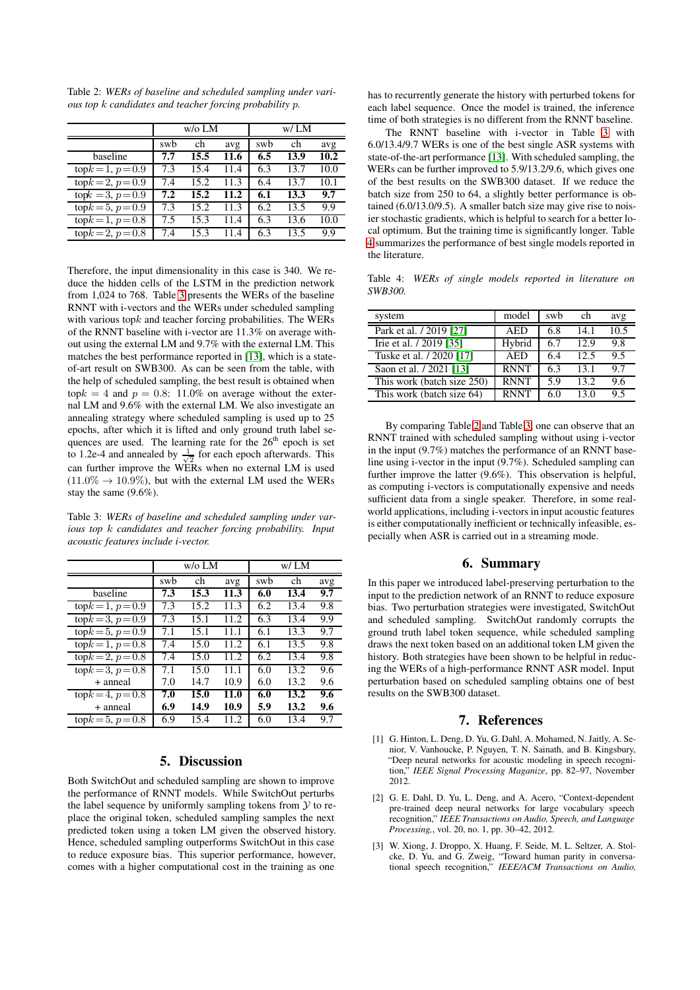<span id="page-3-3"></span>Table 2: *WERs of baseline and scheduled sampling under various top* k *candidates and teacher forcing probability* p*.*

|                     | $w$ /o LM |      |      | w/ LM |      |      |  |
|---------------------|-----------|------|------|-------|------|------|--|
|                     | swb       | ch   | avg  | swb   | ch   | avg  |  |
| baseline            | 7.7       | 15.5 | 11.6 | 6.5   | 13.9 | 10.2 |  |
| $topk = 1, p = 0.9$ | 7.3       | 15.4 | 11.4 | 6.3   | 13.7 | 10.0 |  |
| $topk = 2, p = 0.9$ | 7.4       | 15.2 | 11.3 | 6.4   | 13.7 | 10.1 |  |
| $topk = 3, p = 0.9$ | 7.2       | 15.2 | 11.2 | 6.1   | 13.3 | 9.7  |  |
| $topk = 5, p = 0.9$ | 7.3       | 15.2 | 11.3 | 6.2   | 13.5 | 9.9  |  |
| $topk = 1, p = 0.8$ | 7.5       | 15.3 | 11.4 | 6.3   | 13.6 | 10.0 |  |
| $topk = 2, p = 0.8$ | 7.4       | 15.3 | 11.4 | 6.3   | 13.5 | 9.9  |  |

Therefore, the input dimensionality in this case is 340. We reduce the hidden cells of the LSTM in the prediction network from 1,024 to 768. Table [3](#page-3-4) presents the WERs of the baseline RNNT with i-vectors and the WERs under scheduled sampling with various top $k$  and teacher forcing probabilities. The WERs of the RNNT baseline with i-vector are 11.3% on average without using the external LM and 9.7% with the external LM. This matches the best performance reported in [\[13\]](#page-4-6), which is a stateof-art result on SWB300. As can be seen from the table, with the help of scheduled sampling, the best result is obtained when top $k = 4$  and  $p = 0.8$ : 11.0% on average without the external LM and 9.6% with the external LM. We also investigate an annealing strategy where scheduled sampling is used up to 25 epochs, after which it is lifted and only ground truth label sequences are used. The learning rate for the  $26<sup>th</sup>$  epoch is set to 1.2e-4 and annealed by  $\frac{1}{\sqrt{2}}$  for each epoch afterwards. This can further improve the WERs when no external LM is used  $(11.0\% \rightarrow 10.9\%)$ , but with the external LM used the WERs stay the same (9.6%).

<span id="page-3-4"></span>Table 3: *WERs of baseline and scheduled sampling under various top* k *candidates and teacher forcing probability. Input acoustic features include i-vector.*

|                     | $w/0$ LM |      |       | W/LM |      |     |
|---------------------|----------|------|-------|------|------|-----|
|                     | swb      | ch   | avg   | swb  | ch   | avg |
| baseline            | 7.3      | 15.3 | 11.3  | 6.0  | 13.4 | 9.7 |
| $topk = 1, p = 0.9$ | 7.3      | 15.2 | 11.3  | 6.2  | 13.4 | 9.8 |
| $topk = 3, p = 0.9$ | 7.3      | 15.1 | 11.2. | 6.3  | 13.4 | 9.9 |
| $topk = 5, p = 0.9$ | 7.1      | 15.1 | 11.1  | 6.1  | 13.3 | 9.7 |
| $topk = 1, p = 0.8$ | 7.4      | 15.0 | 11.2  | 6.1  | 13.5 | 9.8 |
| $topk = 2, p = 0.8$ | 7.4      | 15.0 | 11.2. | 6.2  | 13.4 | 9.8 |
| $topk = 3, p = 0.8$ | 7.1      | 15.0 | 11.1  | 6.0  | 13.2 | 9.6 |
| + anneal            | 7.0      | 14.7 | 10.9  | 6.0  | 13.2 | 9.6 |
| $topk = 4, p = 0.8$ | 7.0      | 15.0 | 11.0  | 6.0  | 13.2 | 9.6 |
| + anneal            | 6.9      | 14.9 | 10.9  | 5.9  | 13.2 | 9.6 |
| $topk = 5, p = 0.8$ | 6.9      | 15.4 | 11.2  | 6.0  | 13.4 | 9.7 |

### 5. Discussion

<span id="page-3-1"></span>Both SwitchOut and scheduled sampling are shown to improve the performance of RNNT models. While SwitchOut perturbs the label sequence by uniformly sampling tokens from  $\mathcal Y$  to replace the original token, scheduled sampling samples the next predicted token using a token LM given the observed history. Hence, scheduled sampling outperforms SwitchOut in this case to reduce exposure bias. This superior performance, however, comes with a higher computational cost in the training as one has to recurrently generate the history with perturbed tokens for each label sequence. Once the model is trained, the inference time of both strategies is no different from the RNNT baseline.

The RNNT baseline with i-vector in Table [3](#page-3-4) with 6.0/13.4/9.7 WERs is one of the best single ASR systems with state-of-the-art performance [\[13\]](#page-4-6). With scheduled sampling, the WERs can be further improved to 5.9/13.2/9.6, which gives one of the best results on the SWB300 dataset. If we reduce the batch size from 250 to 64, a slightly better performance is obtained (6.0/13.0/9.5). A smaller batch size may give rise to noisier stochastic gradients, which is helpful to search for a better local optimum. But the training time is significantly longer. Table [4](#page-3-5) summarizes the performance of best single models reported in the literature.

<span id="page-3-5"></span>Table 4: *WERs of single models reported in literature on SWB300.*

| system                     | model       | swh | ch    | avg  |
|----------------------------|-------------|-----|-------|------|
| Park et al. / 2019 [27]    | <b>AED</b>  | 6.8 | 14.1  | 10.5 |
| Irie et al. / 2019 [35]    | Hybrid      | 6.7 | 12.9  | 9.8  |
| Tuske et al. / 2020 [17]   | <b>AED</b>  | 6.4 | 12.5  | 9.5  |
| Saon et al. / 2021 [13]    | <b>RNNT</b> | 6.3 | 13.1  | 9.7  |
| This work (batch size 250) | <b>RNNT</b> | 5.9 | 13.2. | 9.6  |
| This work (batch size 64)  | <b>RNNT</b> | 6.0 | 13.0  | 95   |

By comparing Table [2](#page-3-3) and Table [3,](#page-3-4) one can observe that an RNNT trained with scheduled sampling without using i-vector in the input (9.7%) matches the performance of an RNNT baseline using i-vector in the input (9.7%). Scheduled sampling can further improve the latter (9.6%). This observation is helpful, as computing i-vectors is computationally expensive and needs sufficient data from a single speaker. Therefore, in some realworld applications, including i-vectors in input acoustic features is either computationally inefficient or technically infeasible, especially when ASR is carried out in a streaming mode.

## 6. Summary

<span id="page-3-2"></span>In this paper we introduced label-preserving perturbation to the input to the prediction network of an RNNT to reduce exposure bias. Two perturbation strategies were investigated, SwitchOut and scheduled sampling. SwitchOut randomly corrupts the ground truth label token sequence, while scheduled sampling draws the next token based on an additional token LM given the history. Both strategies have been shown to be helpful in reducing the WERs of a high-performance RNNT ASR model. Input perturbation based on scheduled sampling obtains one of best results on the SWB300 dataset.

## 7. References

- <span id="page-3-0"></span>[1] G. Hinton, L. Deng, D. Yu, G. Dahl, A. Mohamed, N. Jaitly, A. Senior, V. Vanhoucke, P. Nguyen, T. N. Sainath, and B. Kingsbury, "Deep neural networks for acoustic modeling in speech recognition," *IEEE Signal Processing Maganize*, pp. 82–97, November 2012.
- [2] G. E. Dahl, D. Yu, L. Deng, and A. Acero, "Context-dependent pre-trained deep neural networks for large vocabulary speech recognition," *IEEE Transactions on Audio, Speech, and Language Processing,*, vol. 20, no. 1, pp. 30–42, 2012.
- [3] W. Xiong, J. Droppo, X. Huang, F. Seide, M. L. Seltzer, A. Stolcke, D. Yu, and G. Zweig, "Toward human parity in conversational speech recognition," *IEEE/ACM Transactions on Audio,*